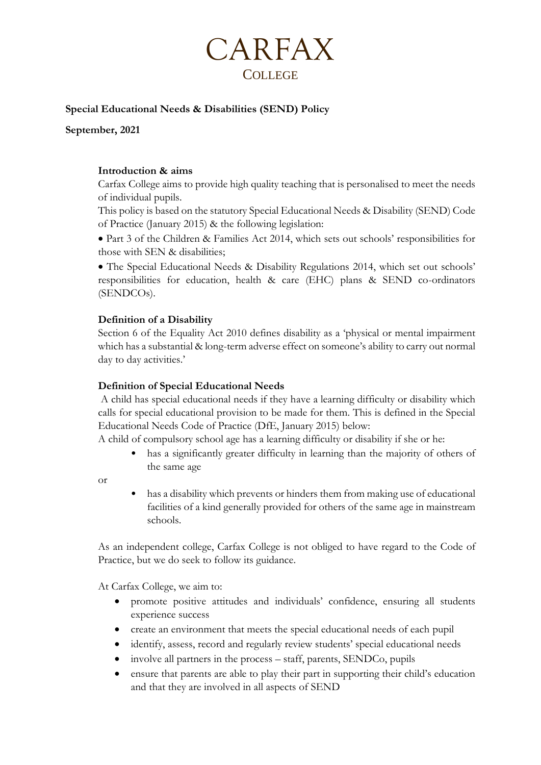

## **Special Educational Needs & Disabilities (SEND) Policy**

**September, 2021**

### **Introduction & aims**

Carfax College aims to provide high quality teaching that is personalised to meet the needs of individual pupils.

This policy is based on the statutory Special Educational Needs & Disability (SEND) Code of Practice (January 2015) & the following legislation:

• Part 3 of the Children & Families Act 2014, which sets out schools' responsibilities for those with SEN & disabilities;

• The Special Educational Needs & Disability Regulations 2014, which set out schools' responsibilities for education, health & care (EHC) plans & SEND co-ordinators (SENDCOs).

### **Definition of a Disability**

Section 6 of the Equality Act 2010 defines disability as a 'physical or mental impairment which has a substantial & long-term adverse effect on someone's ability to carry out normal day to day activities.'

### **Definition of Special Educational Needs**

A child has special educational needs if they have a learning difficulty or disability which calls for special educational provision to be made for them. This is defined in the Special Educational Needs Code of Practice (DfE, January 2015) below:

A child of compulsory school age has a learning difficulty or disability if she or he:

has a significantly greater difficulty in learning than the majority of others of the same age

or

• has a disability which prevents or hinders them from making use of educational facilities of a kind generally provided for others of the same age in mainstream schools.

As an independent college, Carfax College is not obliged to have regard to the Code of Practice, but we do seek to follow its guidance.

At Carfax College, we aim to:

- promote positive attitudes and individuals' confidence, ensuring all students experience success
- create an environment that meets the special educational needs of each pupil
- identify, assess, record and regularly review students' special educational needs
- involve all partners in the process staff, parents, SENDCo, pupils
- ensure that parents are able to play their part in supporting their child's education and that they are involved in all aspects of SEND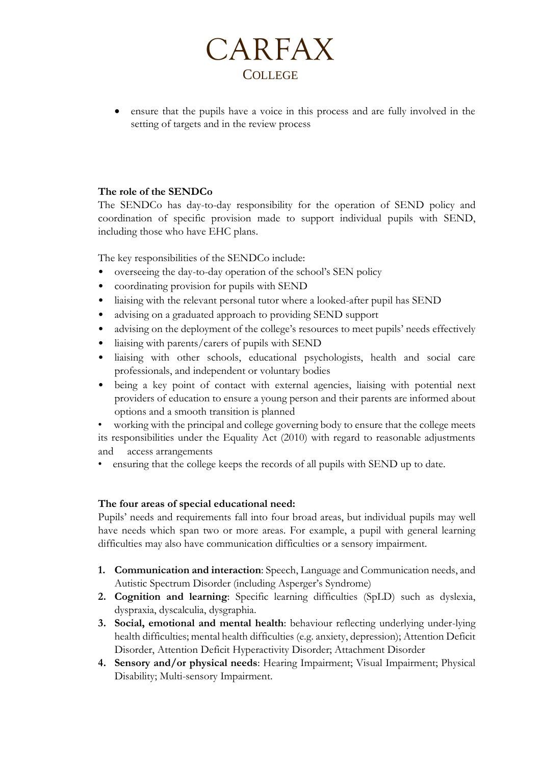

• ensure that the pupils have a voice in this process and are fully involved in the setting of targets and in the review process

# **The role of the SENDCo**

The SENDCo has day-to-day responsibility for the operation of SEND policy and coordination of specific provision made to support individual pupils with SEND, including those who have EHC plans.

The key responsibilities of the SENDCo include:

- overseeing the day-to-day operation of the school's SEN policy
- coordinating provision for pupils with SEND
- liaising with the relevant personal tutor where a looked-after pupil has SEND
- advising on a graduated approach to providing SEND support
- advising on the deployment of the college's resources to meet pupils' needs effectively
- liaising with parents/carers of pupils with SEND
- liaising with other schools, educational psychologists, health and social care professionals, and independent or voluntary bodies
- being a key point of contact with external agencies, liaising with potential next providers of education to ensure a young person and their parents are informed about options and a smooth transition is planned

working with the principal and college governing body to ensure that the college meets its responsibilities under the Equality Act (2010) with regard to reasonable adjustments and access arrangements

• ensuring that the college keeps the records of all pupils with SEND up to date.

# **The four areas of special educational need:**

Pupils' needs and requirements fall into four broad areas, but individual pupils may well have needs which span two or more areas. For example, a pupil with general learning difficulties may also have communication difficulties or a sensory impairment.

- **1. Communication and interaction**: Speech, Language and Communication needs, and Autistic Spectrum Disorder (including Asperger's Syndrome)
- **2. Cognition and learning**: Specific learning difficulties (SpLD) such as dyslexia, dyspraxia, dyscalculia, dysgraphia.
- **3. Social, emotional and mental health**: behaviour reflecting underlying under-lying health difficulties; mental health difficulties (e.g. anxiety, depression); Attention Deficit Disorder, Attention Deficit Hyperactivity Disorder; Attachment Disorder
- **4. Sensory and/or physical needs**: Hearing Impairment; Visual Impairment; Physical Disability; Multi-sensory Impairment.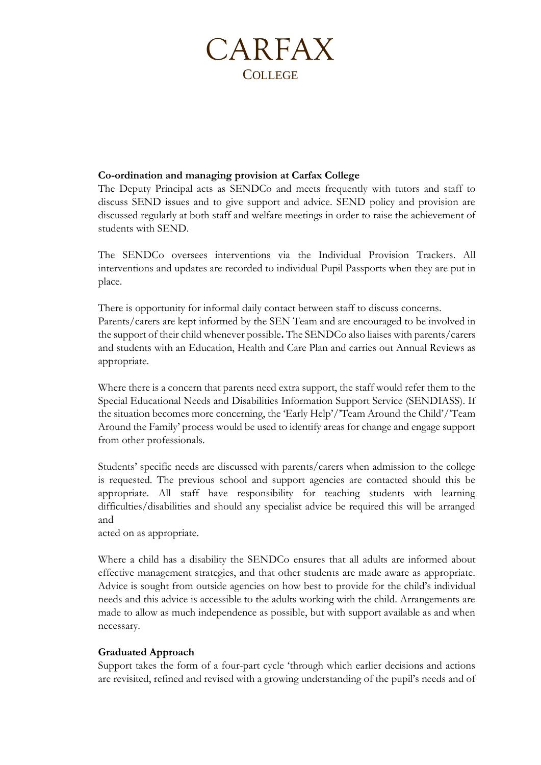# CARFAX COLLEGE

## **Co-ordination and managing provision at Carfax College**

The Deputy Principal acts as SENDCo and meets frequently with tutors and staff to discuss SEND issues and to give support and advice. SEND policy and provision are discussed regularly at both staff and welfare meetings in order to raise the achievement of students with SEND.

The SENDCo oversees interventions via the Individual Provision Trackers. All interventions and updates are recorded to individual Pupil Passports when they are put in place.

There is opportunity for informal daily contact between staff to discuss concerns. Parents/carers are kept informed by the SEN Team and are encouraged to be involved in the support of their child whenever possible**.** The SENDCo also liaises with parents/carers and students with an Education, Health and Care Plan and carries out Annual Reviews as appropriate.

Where there is a concern that parents need extra support, the staff would refer them to the Special Educational Needs and Disabilities Information Support Service (SENDIASS). If the situation becomes more concerning, the 'Early Help'/'Team Around the Child'/'Team Around the Family' process would be used to identify areas for change and engage support from other professionals.

Students' specific needs are discussed with parents/carers when admission to the college is requested. The previous school and support agencies are contacted should this be appropriate. All staff have responsibility for teaching students with learning difficulties/disabilities and should any specialist advice be required this will be arranged and

acted on as appropriate.

Where a child has a disability the SENDCo ensures that all adults are informed about effective management strategies, and that other students are made aware as appropriate. Advice is sought from outside agencies on how best to provide for the child's individual needs and this advice is accessible to the adults working with the child. Arrangements are made to allow as much independence as possible, but with support available as and when necessary.

# **Graduated Approach**

Support takes the form of a four-part cycle 'through which earlier decisions and actions are revisited, refined and revised with a growing understanding of the pupil's needs and of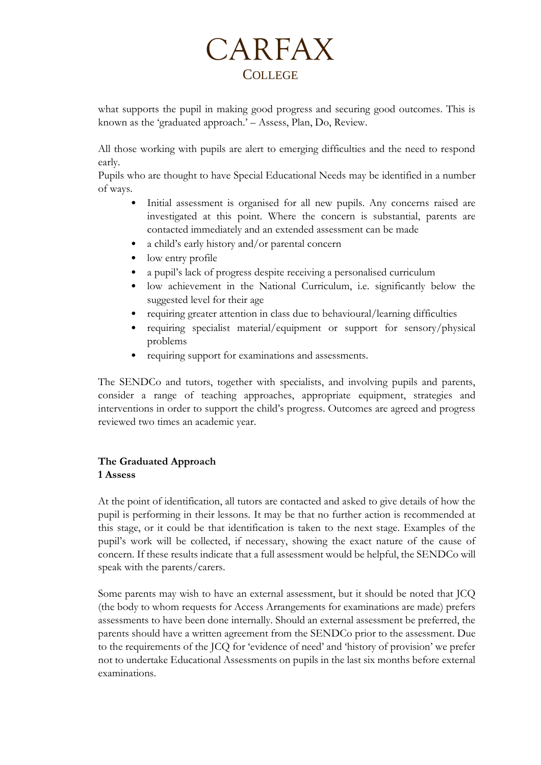# CARFAX **COLLEGE**

what supports the pupil in making good progress and securing good outcomes. This is known as the 'graduated approach.' – Assess, Plan, Do, Review.

All those working with pupils are alert to emerging difficulties and the need to respond early.

Pupils who are thought to have Special Educational Needs may be identified in a number of ways.

- Initial assessment is organised for all new pupils. Any concerns raised are investigated at this point. Where the concern is substantial, parents are contacted immediately and an extended assessment can be made
- a child's early history and/or parental concern
- low entry profile
- a pupil's lack of progress despite receiving a personalised curriculum
- low achievement in the National Curriculum, i.e. significantly below the suggested level for their age
- requiring greater attention in class due to behavioural/learning difficulties
- requiring specialist material/equipment or support for sensory/physical problems
- requiring support for examinations and assessments.

The SENDCo and tutors, together with specialists, and involving pupils and parents, consider a range of teaching approaches, appropriate equipment, strategies and interventions in order to support the child's progress. Outcomes are agreed and progress reviewed two times an academic year.

# **The Graduated Approach 1 Assess**

At the point of identification, all tutors are contacted and asked to give details of how the pupil is performing in their lessons. It may be that no further action is recommended at this stage, or it could be that identification is taken to the next stage. Examples of the pupil's work will be collected, if necessary, showing the exact nature of the cause of concern. If these results indicate that a full assessment would be helpful, the SENDCo will speak with the parents/carers.

Some parents may wish to have an external assessment, but it should be noted that JCQ (the body to whom requests for Access Arrangements for examinations are made) prefers assessments to have been done internally. Should an external assessment be preferred, the parents should have a written agreement from the SENDCo prior to the assessment. Due to the requirements of the JCQ for 'evidence of need' and 'history of provision' we prefer not to undertake Educational Assessments on pupils in the last six months before external examinations.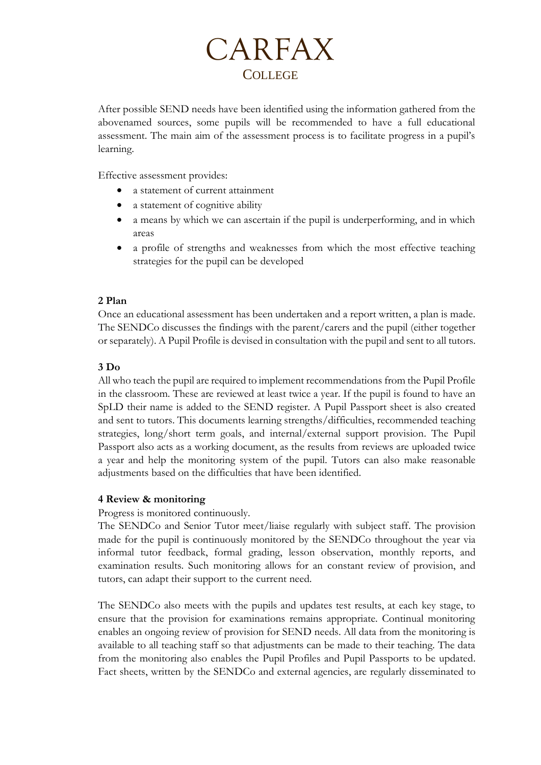

After possible SEND needs have been identified using the information gathered from the abovenamed sources, some pupils will be recommended to have a full educational assessment. The main aim of the assessment process is to facilitate progress in a pupil's learning.

Effective assessment provides:

- a statement of current attainment
- a statement of cognitive ability
- a means by which we can ascertain if the pupil is underperforming, and in which areas
- a profile of strengths and weaknesses from which the most effective teaching strategies for the pupil can be developed

### **2 Plan**

Once an educational assessment has been undertaken and a report written, a plan is made. The SENDCo discusses the findings with the parent/carers and the pupil (either together or separately). A Pupil Profile is devised in consultation with the pupil and sent to all tutors.

## **3 Do**

All who teach the pupil are required to implement recommendations from the Pupil Profile in the classroom. These are reviewed at least twice a year. If the pupil is found to have an SpLD their name is added to the SEND register. A Pupil Passport sheet is also created and sent to tutors. This documents learning strengths/difficulties, recommended teaching strategies, long/short term goals, and internal/external support provision. The Pupil Passport also acts as a working document, as the results from reviews are uploaded twice a year and help the monitoring system of the pupil. Tutors can also make reasonable adjustments based on the difficulties that have been identified.

### **4 Review & monitoring**

Progress is monitored continuously.

The SENDCo and Senior Tutor meet/liaise regularly with subject staff. The provision made for the pupil is continuously monitored by the SENDCo throughout the year via informal tutor feedback, formal grading, lesson observation, monthly reports, and examination results. Such monitoring allows for an constant review of provision, and tutors, can adapt their support to the current need.

The SENDCo also meets with the pupils and updates test results, at each key stage, to ensure that the provision for examinations remains appropriate. Continual monitoring enables an ongoing review of provision for SEND needs. All data from the monitoring is available to all teaching staff so that adjustments can be made to their teaching. The data from the monitoring also enables the Pupil Profiles and Pupil Passports to be updated. Fact sheets, written by the SENDCo and external agencies, are regularly disseminated to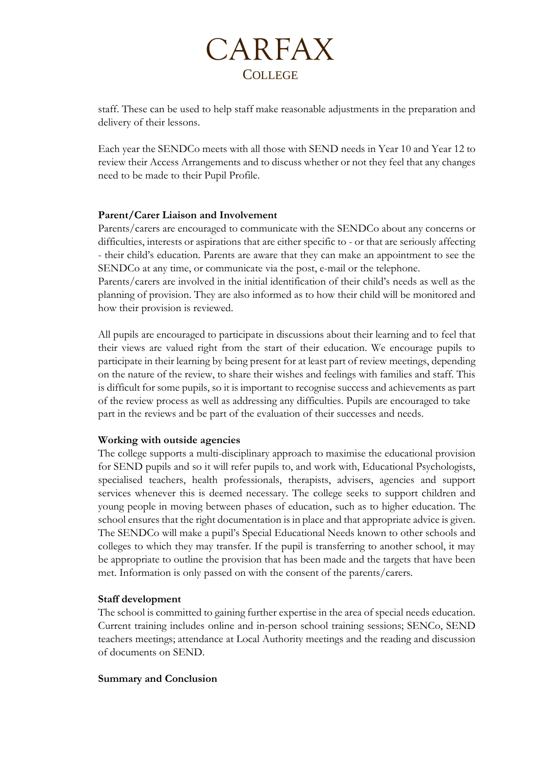

staff. These can be used to help staff make reasonable adjustments in the preparation and delivery of their lessons.

Each year the SENDCo meets with all those with SEND needs in Year 10 and Year 12 to review their Access Arrangements and to discuss whether or not they feel that any changes need to be made to their Pupil Profile.

### **Parent/Carer Liaison and Involvement**

Parents/carers are encouraged to communicate with the SENDCo about any concerns or difficulties, interests or aspirations that are either specific to - or that are seriously affecting - their child's education. Parents are aware that they can make an appointment to see the SENDCo at any time, or communicate via the post, e-mail or the telephone.

Parents/carers are involved in the initial identification of their child's needs as well as the planning of provision. They are also informed as to how their child will be monitored and how their provision is reviewed.

All pupils are encouraged to participate in discussions about their learning and to feel that their views are valued right from the start of their education. We encourage pupils to participate in their learning by being present for at least part of review meetings, depending on the nature of the review, to share their wishes and feelings with families and staff. This is difficult for some pupils, so it is important to recognise success and achievements as part of the review process as well as addressing any difficulties. Pupils are encouraged to take part in the reviews and be part of the evaluation of their successes and needs.

### **Working with outside agencies**

The college supports a multi-disciplinary approach to maximise the educational provision for SEND pupils and so it will refer pupils to, and work with, Educational Psychologists, specialised teachers, health professionals, therapists, advisers, agencies and support services whenever this is deemed necessary. The college seeks to support children and young people in moving between phases of education, such as to higher education. The school ensures that the right documentation is in place and that appropriate advice is given. The SENDCo will make a pupil's Special Educational Needs known to other schools and colleges to which they may transfer. If the pupil is transferring to another school, it may be appropriate to outline the provision that has been made and the targets that have been met. Information is only passed on with the consent of the parents/carers.

### **Staff development**

The school is committed to gaining further expertise in the area of special needs education. Current training includes online and in-person school training sessions; SENCo, SEND teachers meetings; attendance at Local Authority meetings and the reading and discussion of documents on SEND.

### **Summary and Conclusion**